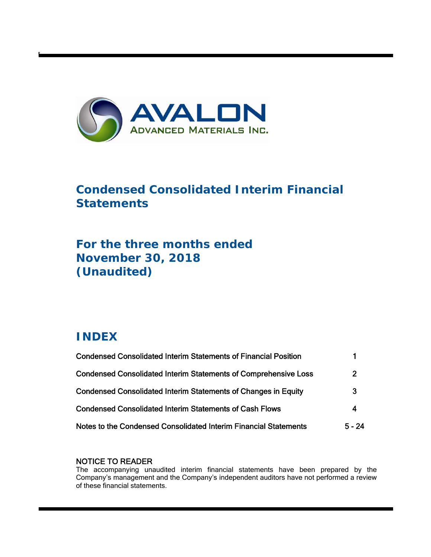

# **Condensed Consolidated Interim Financial Statements**

# **For the three months ended November 30, 2018 (Unaudited)**

# **INDEX**

t

| <b>Condensed Consolidated Interim Statements of Financial Position</b> |          |
|------------------------------------------------------------------------|----------|
| <b>Condensed Consolidated Interim Statements of Comprehensive Loss</b> | 2        |
| Condensed Consolidated Interim Statements of Changes in Equity         | 3        |
| <b>Condensed Consolidated Interim Statements of Cash Flows</b>         | 4        |
| Notes to the Condensed Consolidated Interim Financial Statements       | $5 - 24$ |

# NOTICE TO READER

The accompanying unaudited interim financial statements have been prepared by the Company's management and the Company's independent auditors have not performed a review of these financial statements.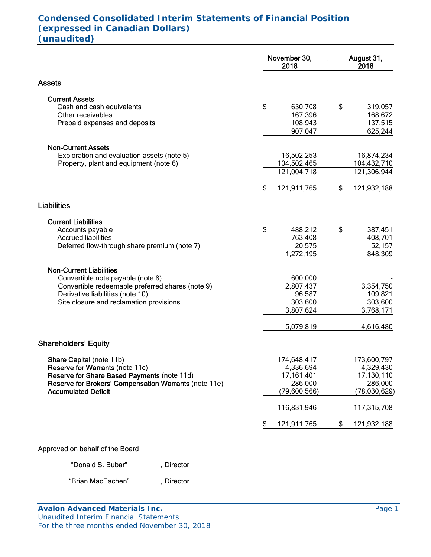# **Condensed Consolidated Interim Statements of Financial Position (expressed in Canadian Dollars) (unaudited)**

|                                                       | November 30,<br>2018 |              |    | August 31,<br>2018 |
|-------------------------------------------------------|----------------------|--------------|----|--------------------|
| <b>Assets</b>                                         |                      |              |    |                    |
| <b>Current Assets</b>                                 |                      |              |    |                    |
| Cash and cash equivalents                             | \$                   | 630,708      | \$ | 319,057            |
| Other receivables                                     |                      | 167,396      |    | 168,672            |
| Prepaid expenses and deposits                         |                      | 108,943      |    | 137,515            |
|                                                       |                      | 907,047      |    | 625,244            |
| <b>Non-Current Assets</b>                             |                      |              |    |                    |
| Exploration and evaluation assets (note 5)            |                      | 16,502,253   |    | 16,874,234         |
| Property, plant and equipment (note 6)                |                      | 104,502,465  |    | 104,432,710        |
|                                                       |                      | 121,004,718  |    | 121,306,944        |
|                                                       | \$                   | 121,911,765  | \$ | 121,932,188        |
| <b>Liabilities</b>                                    |                      |              |    |                    |
| <b>Current Liabilities</b>                            |                      |              |    |                    |
| Accounts payable                                      | \$                   | 488,212      | \$ | 387,451            |
| <b>Accrued liabilities</b>                            |                      | 763,408      |    | 408,701            |
| Deferred flow-through share premium (note 7)          |                      | 20,575       |    | 52,157             |
|                                                       |                      | 1,272,195    |    | 848,309            |
| <b>Non-Current Liabilities</b>                        |                      |              |    |                    |
| Convertible note payable (note 8)                     |                      | 600,000      |    |                    |
| Convertible redeemable preferred shares (note 9)      |                      | 2,807,437    |    | 3,354,750          |
| Derivative liabilities (note 10)                      |                      | 96,587       |    | 109,821            |
| Site closure and reclamation provisions               |                      | 303,600      |    | 303,600            |
|                                                       |                      | 3,807,624    |    | 3,768,171          |
|                                                       |                      | 5,079,819    |    | 4,616,480          |
| <b>Shareholders' Equity</b>                           |                      |              |    |                    |
| <b>Share Capital (note 11b)</b>                       |                      | 174,648,417  |    | 173,600,797        |
| <b>Reserve for Warrants (note 11c)</b>                |                      | 4,336,694    |    | 4,329,430          |
| Reserve for Share Based Payments (note 11d)           |                      | 17,161,401   |    | 17,130,110         |
| Reserve for Brokers' Compensation Warrants (note 11e) |                      | 286,000      |    | 286,000            |
| <b>Accumulated Deficit</b>                            |                      | (79,600,566) |    | (78,030,629)       |
|                                                       |                      | 116,831,946  |    | 117,315,708        |
|                                                       | S                    | 121,911,765  | \$ | 121,932,188        |

Approved on behalf of the Board

"Donald S. Bubar" , Director

"Brian MacEachen" , Director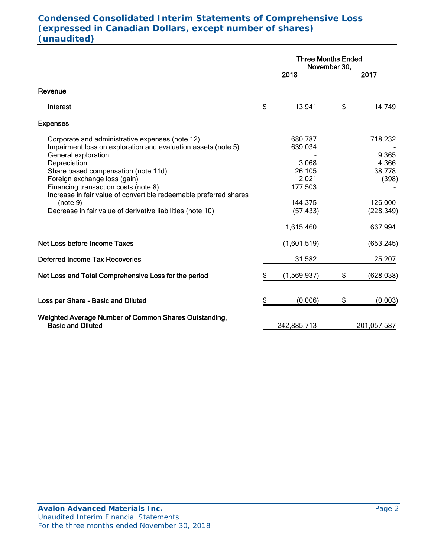# **Condensed Consolidated Interim Statements of Comprehensive Loss (expressed in Canadian Dollars, except number of shares) (unaudited)**

|                                                                                                                                           | <b>Three Months Ended</b><br>November 30, |    |                          |
|-------------------------------------------------------------------------------------------------------------------------------------------|-------------------------------------------|----|--------------------------|
|                                                                                                                                           | 2018                                      |    | 2017                     |
| Revenue                                                                                                                                   |                                           |    |                          |
| Interest                                                                                                                                  | \$<br>13,941                              | \$ | 14,749                   |
| <b>Expenses</b>                                                                                                                           |                                           |    |                          |
| Corporate and administrative expenses (note 12)<br>Impairment loss on exploration and evaluation assets (note 5)                          | 680,787<br>639,034                        |    | 718,232                  |
| General exploration<br>Depreciation<br>Share based compensation (note 11d)                                                                | 3,068<br>26,105                           |    | 9,365<br>4,366<br>38,778 |
| Foreign exchange loss (gain)<br>Financing transaction costs (note 8)<br>Increase in fair value of convertible redeemable preferred shares | 2,021<br>177,503                          |    | (398)                    |
| (note 9)<br>Decrease in fair value of derivative liabilities (note 10)                                                                    | 144,375<br>(57, 433)                      |    | 126,000<br>(228, 349)    |
|                                                                                                                                           | 1,615,460                                 |    | 667,994                  |
| Net Loss before Income Taxes                                                                                                              | (1,601,519)                               |    | (653, 245)               |
| <b>Deferred Income Tax Recoveries</b>                                                                                                     | 31,582                                    |    | 25,207                   |
| Net Loss and Total Comprehensive Loss for the period                                                                                      | \$<br>(1,569,937)                         | \$ | (628, 038)               |
| Loss per Share - Basic and Diluted                                                                                                        | \$<br>(0.006)                             | \$ | (0.003)                  |
| Weighted Average Number of Common Shares Outstanding,<br><b>Basic and Diluted</b>                                                         | 242,885,713                               |    | 201,057,587              |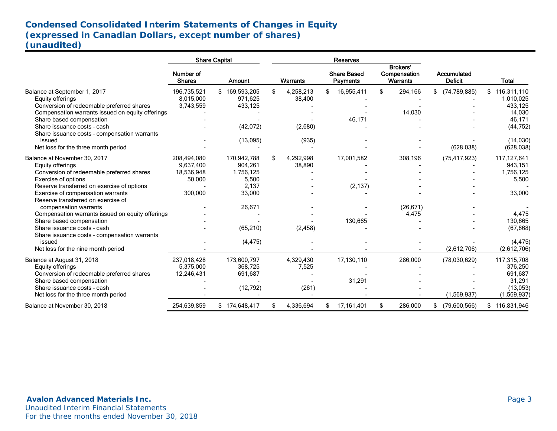# **Condensed Consolidated Interim Statements of Changes in Equity (expressed in Canadian Dollars, except number of shares) (unaudited)**

| Number of<br><b>Shares</b> |                                                                                                                                                |                                                                                                                                                                                               |           |                                                                                                           |                                       |                                                                                   |                                      |                                                               |                                                 |
|----------------------------|------------------------------------------------------------------------------------------------------------------------------------------------|-----------------------------------------------------------------------------------------------------------------------------------------------------------------------------------------------|-----------|-----------------------------------------------------------------------------------------------------------|---------------------------------------|-----------------------------------------------------------------------------------|--------------------------------------|---------------------------------------------------------------|-------------------------------------------------|
|                            | Amount                                                                                                                                         |                                                                                                                                                                                               | Warrants  |                                                                                                           | <b>Share Based</b><br><b>Payments</b> |                                                                                   | Brokers'<br>Compensation<br>Warrants | Accumulated<br><b>Deficit</b>                                 | <b>Total</b>                                    |
|                            |                                                                                                                                                |                                                                                                                                                                                               |           | \$.                                                                                                       |                                       | \$                                                                                |                                      | $$$ (74.789,885)                                              | 116,311,110<br>\$                               |
|                            |                                                                                                                                                |                                                                                                                                                                                               |           |                                                                                                           |                                       |                                                                                   |                                      |                                                               | 1,010,025                                       |
|                            | 433,125                                                                                                                                        |                                                                                                                                                                                               |           |                                                                                                           |                                       |                                                                                   |                                      |                                                               | 433,125                                         |
|                            |                                                                                                                                                |                                                                                                                                                                                               |           |                                                                                                           |                                       |                                                                                   |                                      |                                                               | 14,030                                          |
|                            |                                                                                                                                                |                                                                                                                                                                                               |           |                                                                                                           |                                       |                                                                                   |                                      |                                                               | 46,171                                          |
|                            |                                                                                                                                                |                                                                                                                                                                                               |           |                                                                                                           |                                       |                                                                                   |                                      |                                                               | (44, 752)                                       |
|                            |                                                                                                                                                |                                                                                                                                                                                               |           |                                                                                                           |                                       |                                                                                   |                                      |                                                               |                                                 |
|                            |                                                                                                                                                |                                                                                                                                                                                               |           |                                                                                                           |                                       |                                                                                   |                                      |                                                               | (14,030)                                        |
|                            |                                                                                                                                                |                                                                                                                                                                                               |           |                                                                                                           |                                       |                                                                                   |                                      | (628, 038)                                                    | (628, 038)                                      |
|                            |                                                                                                                                                |                                                                                                                                                                                               |           |                                                                                                           |                                       |                                                                                   |                                      |                                                               |                                                 |
|                            |                                                                                                                                                |                                                                                                                                                                                               |           |                                                                                                           |                                       |                                                                                   |                                      |                                                               | 117,127,641                                     |
|                            |                                                                                                                                                |                                                                                                                                                                                               |           |                                                                                                           |                                       |                                                                                   |                                      |                                                               | 943,151                                         |
|                            |                                                                                                                                                |                                                                                                                                                                                               |           |                                                                                                           |                                       |                                                                                   |                                      |                                                               | 1,756,125                                       |
|                            |                                                                                                                                                |                                                                                                                                                                                               |           |                                                                                                           |                                       |                                                                                   |                                      |                                                               | 5,500                                           |
|                            |                                                                                                                                                |                                                                                                                                                                                               |           |                                                                                                           |                                       |                                                                                   |                                      |                                                               |                                                 |
|                            |                                                                                                                                                |                                                                                                                                                                                               |           |                                                                                                           |                                       |                                                                                   |                                      |                                                               | 33,000                                          |
|                            |                                                                                                                                                |                                                                                                                                                                                               |           |                                                                                                           |                                       |                                                                                   |                                      |                                                               |                                                 |
|                            |                                                                                                                                                |                                                                                                                                                                                               |           |                                                                                                           |                                       |                                                                                   |                                      |                                                               |                                                 |
|                            |                                                                                                                                                |                                                                                                                                                                                               |           |                                                                                                           |                                       |                                                                                   |                                      |                                                               | 4,475                                           |
|                            |                                                                                                                                                |                                                                                                                                                                                               |           |                                                                                                           |                                       |                                                                                   |                                      |                                                               | 130,665                                         |
|                            |                                                                                                                                                |                                                                                                                                                                                               |           |                                                                                                           |                                       |                                                                                   |                                      |                                                               | (67, 668)                                       |
|                            |                                                                                                                                                |                                                                                                                                                                                               |           |                                                                                                           |                                       |                                                                                   |                                      |                                                               |                                                 |
|                            | (4, 475)                                                                                                                                       |                                                                                                                                                                                               |           |                                                                                                           |                                       |                                                                                   |                                      |                                                               | (4, 475)                                        |
|                            |                                                                                                                                                |                                                                                                                                                                                               |           |                                                                                                           |                                       |                                                                                   |                                      | (2,612,706)                                                   | (2,612,706)                                     |
|                            |                                                                                                                                                |                                                                                                                                                                                               |           |                                                                                                           |                                       |                                                                                   |                                      |                                                               | 117,315,708                                     |
|                            |                                                                                                                                                |                                                                                                                                                                                               |           |                                                                                                           |                                       |                                                                                   |                                      |                                                               | 376,250                                         |
|                            |                                                                                                                                                |                                                                                                                                                                                               |           |                                                                                                           |                                       |                                                                                   |                                      |                                                               | 691,687                                         |
|                            |                                                                                                                                                |                                                                                                                                                                                               |           |                                                                                                           |                                       |                                                                                   |                                      |                                                               | 31,291                                          |
|                            |                                                                                                                                                |                                                                                                                                                                                               |           |                                                                                                           |                                       |                                                                                   |                                      |                                                               | (13,053)                                        |
|                            |                                                                                                                                                |                                                                                                                                                                                               |           |                                                                                                           |                                       |                                                                                   |                                      |                                                               | (1,569,937)                                     |
| 254.639.859                | \$174,648,417                                                                                                                                  |                                                                                                                                                                                               | 4,336,694 | \$                                                                                                        | 17,161,401                            | \$                                                                                | 286,000                              | \$<br>(79,600,566)                                            | \$116,831,946                                   |
|                            | 196,735,521<br>8,015,000<br>3,743,559<br>208,494,080<br>9.637.400<br>18,536,948<br>50,000<br>300,000<br>237,018,428<br>5,375,000<br>12,246,431 | \$169,593,205<br>971,625<br>(42, 072)<br>(13,095)<br>170,942,788<br>904,261<br>1,756,125<br>5,500<br>2,137<br>33,000<br>26,671<br>(65, 210)<br>173,600,797<br>368,725<br>691,687<br>(12, 792) |           | 4,258,213<br>38,400<br>(2,680)<br>(935)<br>4,292,998<br>38,890<br>(2, 458)<br>4,329,430<br>7,525<br>(261) |                                       | 16,955,411<br>46,171<br>17,001,582<br>(2, 137)<br>130,665<br>17,130,110<br>31,291 |                                      | 294,166<br>14,030<br>308,196<br>(26, 671)<br>4,475<br>286,000 | (75, 417, 923)<br>(78,030,629)<br>(1, 569, 937) |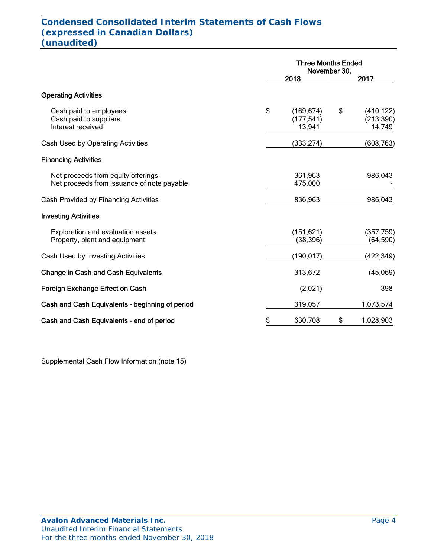#### . **Condensed Consolidated Interim Statements of Cash Flows (expressed in Canadian Dollars) (unaudited)**

|                                                                                  | <b>Three Months Ended</b><br>November 30, |    |                                    |  |
|----------------------------------------------------------------------------------|-------------------------------------------|----|------------------------------------|--|
|                                                                                  | 2018                                      |    | 2017                               |  |
| <b>Operating Activities</b>                                                      |                                           |    |                                    |  |
| Cash paid to employees<br>Cash paid to suppliers<br>Interest received            | \$<br>(169, 674)<br>(177, 541)<br>13,941  | \$ | (410, 122)<br>(213, 390)<br>14,749 |  |
| Cash Used by Operating Activities                                                | (333, 274)                                |    | (608,763)                          |  |
| <b>Financing Activities</b>                                                      |                                           |    |                                    |  |
| Net proceeds from equity offerings<br>Net proceeds from issuance of note payable | 361,963<br>475,000                        |    | 986,043                            |  |
| Cash Provided by Financing Activities                                            | 836,963                                   |    | 986,043                            |  |
| <b>Investing Activities</b>                                                      |                                           |    |                                    |  |
| <b>Exploration and evaluation assets</b><br>Property, plant and equipment        | (151, 621)<br>(38, 396)                   |    | (357, 759)<br>(64, 590)            |  |
| Cash Used by Investing Activities                                                | (190, 017)                                |    | (422,349)                          |  |
| <b>Change in Cash and Cash Equivalents</b>                                       | 313,672                                   |    | (45,069)                           |  |
| Foreign Exchange Effect on Cash                                                  | (2,021)                                   |    | 398                                |  |
| Cash and Cash Equivalents - beginning of period                                  | 319,057                                   |    | 1,073,574                          |  |
| Cash and Cash Equivalents - end of period                                        | \$<br>630,708                             | \$ | 1,028,903                          |  |

Supplemental Cash Flow Information (note 15)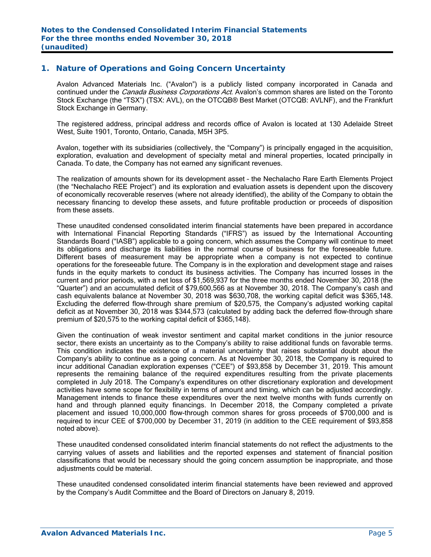## **1. Nature of Operations and Going Concern Uncertainty**

Avalon Advanced Materials Inc. ("Avalon") is a publicly listed company incorporated in Canada and continued under the *Canada Business Corporations Act*. Avalon's common shares are listed on the Toronto Stock Exchange (the "TSX") (TSX: AVL), on the OTCQB® Best Market (OTCQB: AVLNF), and the Frankfurt Stock Exchange in Germany.

The registered address, principal address and records office of Avalon is located at 130 Adelaide Street West, Suite 1901, Toronto, Ontario, Canada, M5H 3P5.

Avalon, together with its subsidiaries (collectively, the "Company") is principally engaged in the acquisition, exploration, evaluation and development of specialty metal and mineral properties, located principally in Canada. To date, the Company has not earned any significant revenues.

The realization of amounts shown for its development asset – the Nechalacho Rare Earth Elements Project (the "Nechalacho REE Project") and its exploration and evaluation assets is dependent upon the discovery of economically recoverable reserves (where not already identified), the ability of the Company to obtain the necessary financing to develop these assets, and future profitable production or proceeds of disposition from these assets.

These unaudited condensed consolidated interim financial statements have been prepared in accordance with International Financial Reporting Standards ("IFRS") as issued by the International Accounting Standards Board ("IASB") applicable to a going concern, which assumes the Company will continue to meet its obligations and discharge its liabilities in the normal course of business for the foreseeable future. Different bases of measurement may be appropriate when a company is not expected to continue operations for the foreseeable future. The Company is in the exploration and development stage and raises funds in the equity markets to conduct its business activities. The Company has incurred losses in the current and prior periods, with a net loss of \$1,569,937 for the three months ended November 30, 2018 (the "Quarter") and an accumulated deficit of \$79,600,566 as at November 30, 2018. The Company's cash and cash equivalents balance at November 30, 2018 was \$630,708, the working capital deficit was \$365,148. Excluding the deferred flow-through share premium of \$20,575, the Company's adjusted working capital deficit as at November 30, 2018 was \$344,573 (calculated by adding back the deferred flow-through share premium of \$20,575 to the working capital deficit of \$365,148).

Given the continuation of weak investor sentiment and capital market conditions in the junior resource sector, there exists an uncertainty as to the Company's ability to raise additional funds on favorable terms. This condition indicates the existence of a material uncertainty that raises substantial doubt about the Company's ability to continue as a going concern. As at November 30, 2018, the Company is required to incur additional Canadian exploration expenses ("CEE") of \$93,858 by December 31, 2019. This amount represents the remaining balance of the required expenditures resulting from the private placements completed in July 2018. The Company's expenditures on other discretionary exploration and development activities have some scope for flexibility in terms of amount and timing, which can be adjusted accordingly. Management intends to finance these expenditures over the next twelve months with funds currently on hand and through planned equity financings. In December 2018, the Company completed a private placement and issued 10,000,000 flow-through common shares for gross proceeds of \$700,000 and is required to incur CEE of \$700,000 by December 31, 2019 (in addition to the CEE requirement of \$93,858 noted above).

These unaudited condensed consolidated interim financial statements do not reflect the adjustments to the carrying values of assets and liabilities and the reported expenses and statement of financial position classifications that would be necessary should the going concern assumption be inappropriate, and those adjustments could be material.

These unaudited condensed consolidated interim financial statements have been reviewed and approved by the Company's Audit Committee and the Board of Directors on January 8, 2019.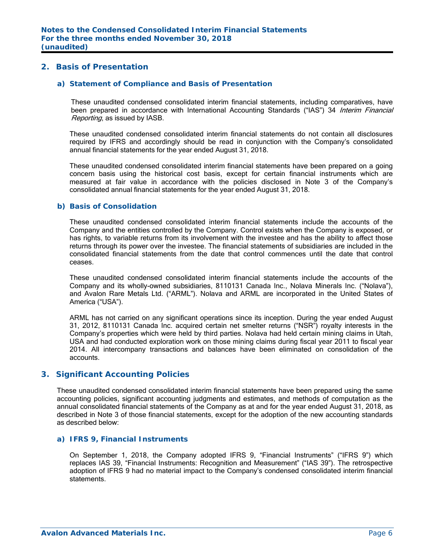# **2. Basis of Presentation**

#### *a) Statement of Compliance and Basis of Presentation*

These unaudited condensed consolidated interim financial statements, including comparatives, have been prepared in accordance with International Accounting Standards ("IAS") 34 Interim Financial Reporting, as issued by IASB.

These unaudited condensed consolidated interim financial statements do not contain all disclosures required by IFRS and accordingly should be read in conjunction with the Company's consolidated annual financial statements for the year ended August 31, 2018.

These unaudited condensed consolidated interim financial statements have been prepared on a going concern basis using the historical cost basis, except for certain financial instruments which are measured at fair value in accordance with the policies disclosed in Note 3 of the Company's consolidated annual financial statements for the year ended August 31, 2018.

#### *b) Basis of Consolidation*

These unaudited condensed consolidated interim financial statements include the accounts of the Company and the entities controlled by the Company. Control exists when the Company is exposed, or has rights, to variable returns from its involvement with the investee and has the ability to affect those returns through its power over the investee. The financial statements of subsidiaries are included in the consolidated financial statements from the date that control commences until the date that control ceases.

These unaudited condensed consolidated interim financial statements include the accounts of the Company and its wholly-owned subsidiaries, 8110131 Canada Inc., Nolava Minerals Inc. ("Nolava"), and Avalon Rare Metals Ltd. ("ARML"). Nolava and ARML are incorporated in the United States of America ("USA").

ARML has not carried on any significant operations since its inception. During the year ended August 31, 2012, 8110131 Canada Inc. acquired certain net smelter returns ("NSR") royalty interests in the Company's properties which were held by third parties. Nolava had held certain mining claims in Utah, USA and had conducted exploration work on those mining claims during fiscal year 2011 to fiscal year 2014. All intercompany transactions and balances have been eliminated on consolidation of the accounts.

#### **3. Significant Accounting Policies**

These unaudited condensed consolidated interim financial statements have been prepared using the same accounting policies, significant accounting judgments and estimates, and methods of computation as the annual consolidated financial statements of the Company as at and for the year ended August 31, 2018, as described in Note 3 of those financial statements, except for the adoption of the new accounting standards as described below:

#### *a) IFRS 9, Financial Instruments*

On September 1, 2018, the Company adopted IFRS 9, "Financial Instruments" ("IFRS 9") which replaces IAS 39, "Financial Instruments: Recognition and Measurement" ("IAS 39"). The retrospective adoption of IFRS 9 had no material impact to the Company's condensed consolidated interim financial statements.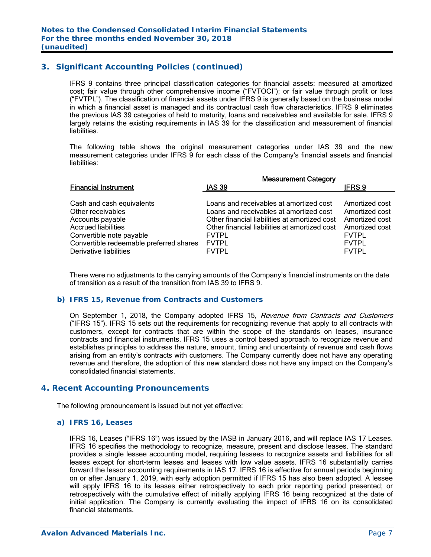# **3. Significant Accounting Policies (continued)**

IFRS 9 contains three principal classification categories for financial assets: measured at amortized cost; fair value through other comprehensive income ("FVTOCI"); or fair value through profit or loss ("FVTPL"). The classification of financial assets under IFRS 9 is generally based on the business model in which a financial asset is managed and its contractual cash flow characteristics. IFRS 9 eliminates the previous IAS 39 categories of held to maturity, loans and receivables and available for sale. IFRS 9 largely retains the existing requirements in IAS 39 for the classification and measurement of financial liabilities.

The following table shows the original measurement categories under IAS 39 and the new measurement categories under IFRS 9 for each class of the Company's financial assets and financial liabilities:

|                                                | <b>Measurement Category</b>                   |                |
|------------------------------------------------|-----------------------------------------------|----------------|
| <b>Financial Instrument</b>                    | <b>IAS 39</b>                                 | <b>IFRS 9</b>  |
|                                                | Loans and receivables at amortized cost       | Amortized cost |
| Cash and cash equivalents<br>Other receivables | Loans and receivables at amortized cost       | Amortized cost |
|                                                | Other financial liabilities at amortized cost | Amortized cost |
| Accounts payable<br><b>Accrued liabilities</b> | Other financial liabilities at amortized cost | Amortized cost |
| Convertible note payable                       | <b>FVTPL</b>                                  | <b>FVTPL</b>   |
| Convertible redeemable preferred shares        | <b>FVTPL</b>                                  | <b>FVTPL</b>   |
| Derivative liabilities                         | <b>FVTPL</b>                                  | <b>FVTPL</b>   |

There were no adjustments to the carrying amounts of the Company's financial instruments on the date of transition as a result of the transition from IAS 39 to IFRS 9.

#### *b) IFRS 15, Revenue from Contracts and Customers*

On September 1, 2018, the Company adopted IFRS 15, *Revenue from Contracts and Customers* ("IFRS 15"). IFRS 15 sets out the requirements for recognizing revenue that apply to all contracts with customers, except for contracts that are within the scope of the standards on leases, insurance contracts and financial instruments. IFRS 15 uses a control based approach to recognize revenue and establishes principles to address the nature, amount, timing and uncertainty of revenue and cash flows arising from an entity's contracts with customers. The Company currently does not have any operating revenue and therefore, the adoption of this new standard does not have any impact on the Company's consolidated financial statements.

#### **4. Recent Accounting Pronouncements**

The following pronouncement is issued but not yet effective:

#### *a) IFRS 16, Leases*

 IFRS 16, Leases ("IFRS 16") was issued by the IASB in January 2016, and will replace IAS 17 Leases. IFRS 16 specifies the methodology to recognize, measure, present and disclose leases. The standard provides a single lessee accounting model, requiring lessees to recognize assets and liabilities for all leases except for short-term leases and leases with low value assets. IFRS 16 substantially carries forward the lessor accounting requirements in IAS 17. IFRS 16 is effective for annual periods beginning on or after January 1, 2019, with early adoption permitted if IFRS 15 has also been adopted. A lessee will apply IFRS 16 to its leases either retrospectively to each prior reporting period presented; or retrospectively with the cumulative effect of initially applying IFRS 16 being recognized at the date of initial application. The Company is currently evaluating the impact of IFRS 16 on its consolidated financial statements.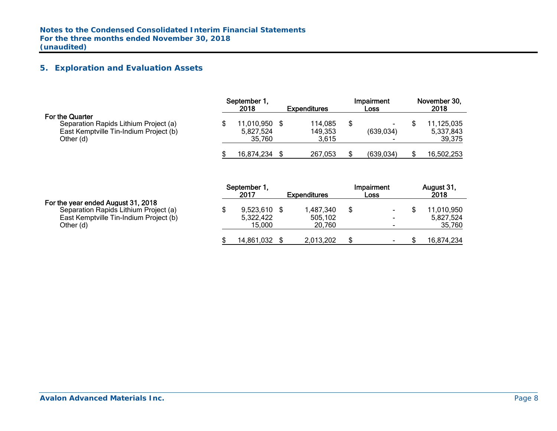# **5. Exploration and Evaluation Assets**

|                                                                                                                 | September 1,<br>2018<br><b>Expenditures</b> |  |                             |   | Impairment<br>Loss                               | November 30,<br>2018 |                                   |  |
|-----------------------------------------------------------------------------------------------------------------|---------------------------------------------|--|-----------------------------|---|--------------------------------------------------|----------------------|-----------------------------------|--|
| For the Quarter<br>Separation Rapids Lithium Project (a)<br>East Kemptville Tin-Indium Project (b)<br>Other (d) | 11,010,950<br>5,827,524<br>35.760           |  | 114,085<br>149,353<br>3.615 | S | $\overline{\phantom{0}}$<br>(639, 034)<br>$\sim$ |                      | 11,125,035<br>5,337,843<br>39,375 |  |
|                                                                                                                 | 16,874,234                                  |  | 267,053                     |   | (639.034)                                        |                      | 16,502,253                        |  |

#### For the year ended August 31, 2018

|                                                                                                                                    | September 1.<br>2017                  | <b>Expenditures</b>            | <b>Impairment</b><br>Loss                            | August 31,<br>2018                |
|------------------------------------------------------------------------------------------------------------------------------------|---------------------------------------|--------------------------------|------------------------------------------------------|-----------------------------------|
| For the year ended August 31, 2018<br>Separation Rapids Lithium Project (a)<br>East Kemptville Tin-Indium Project (b)<br>Other (d) | $9,523,610$ \$<br>5,322,422<br>15.000 | 1,487,340<br>505,102<br>20.760 | $\overline{\phantom{a}}$<br>$\overline{\phantom{a}}$ | 11,010,950<br>5,827,524<br>35,760 |
|                                                                                                                                    | 14,861,032                            | 2,013,202                      | $\overline{\phantom{0}}$                             | 16,874,234                        |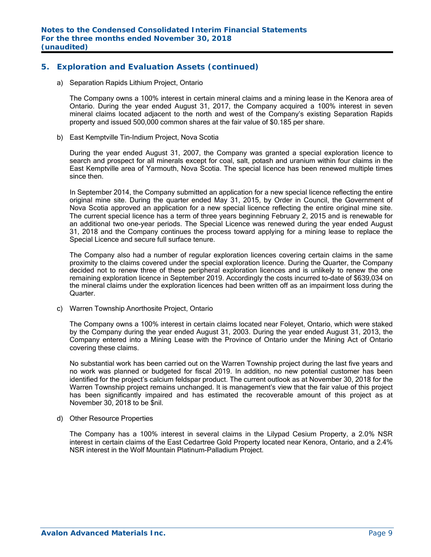# **5. Exploration and Evaluation Assets (continued)**

a) Separation Rapids Lithium Project, Ontario

The Company owns a 100% interest in certain mineral claims and a mining lease in the Kenora area of Ontario. During the year ended August 31, 2017, the Company acquired a 100% interest in seven mineral claims located adjacent to the north and west of the Company's existing Separation Rapids property and issued 500,000 common shares at the fair value of \$0.185 per share.

b) East Kemptville Tin-Indium Project, Nova Scotia

During the year ended August 31, 2007, the Company was granted a special exploration licence to search and prospect for all minerals except for coal, salt, potash and uranium within four claims in the East Kemptville area of Yarmouth, Nova Scotia. The special licence has been renewed multiple times since then.

In September 2014, the Company submitted an application for a new special licence reflecting the entire original mine site. During the quarter ended May 31, 2015, by Order in Council, the Government of Nova Scotia approved an application for a new special licence reflecting the entire original mine site. The current special licence has a term of three years beginning February 2, 2015 and is renewable for an additional two one-year periods. The Special Licence was renewed during the year ended August 31, 2018 and the Company continues the process toward applying for a mining lease to replace the Special Licence and secure full surface tenure.

The Company also had a number of regular exploration licences covering certain claims in the same proximity to the claims covered under the special exploration licence. During the Quarter, the Company decided not to renew three of these peripheral exploration licences and is unlikely to renew the one remaining exploration licence in September 2019. Accordingly the costs incurred to-date of \$639,034 on the mineral claims under the exploration licences had been written off as an impairment loss during the Quarter.

c) Warren Township Anorthosite Project, Ontario

The Company owns a 100% interest in certain claims located near Foleyet, Ontario, which were staked by the Company during the year ended August 31, 2003. During the year ended August 31, 2013, the Company entered into a Mining Lease with the Province of Ontario under the Mining Act of Ontario covering these claims.

No substantial work has been carried out on the Warren Township project during the last five years and no work was planned or budgeted for fiscal 2019. In addition, no new potential customer has been identified for the project's calcium feldspar product. The current outlook as at November 30, 2018 for the Warren Township project remains unchanged. It is management's view that the fair value of this project has been significantly impaired and has estimated the recoverable amount of this project as at November 30, 2018 to be \$nil.

d) Other Resource Properties

The Company has a 100% interest in several claims in the Lilypad Cesium Property, a 2.0% NSR interest in certain claims of the East Cedartree Gold Property located near Kenora, Ontario, and a 2.4% NSR interest in the Wolf Mountain Platinum-Palladium Project.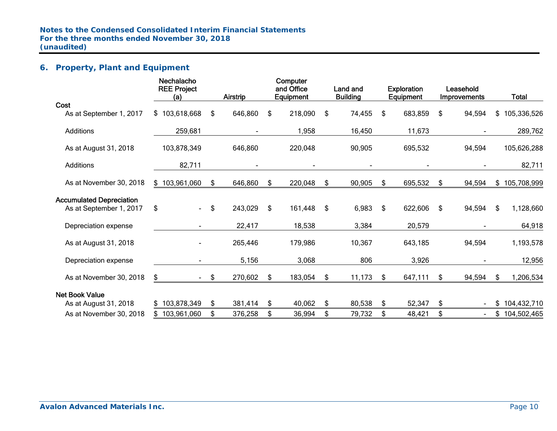# **6. Property, Plant and Equipment**

| Nechalacho<br><b>REE Project</b> |     |         |                     |         |                                               | <b>Land and</b> |                           |                |                                           |                |                                  | Total         |
|----------------------------------|-----|---------|---------------------|---------|-----------------------------------------------|-----------------|---------------------------|----------------|-------------------------------------------|----------------|----------------------------------|---------------|
|                                  |     |         |                     |         |                                               |                 |                           |                |                                           |                |                                  |               |
| \$103,618,668                    | \$  | 646,860 | \$                  | 218,090 | \$                                            | 74,455          | \$                        | 683,859        | \$                                        | 94,594         |                                  | \$105,336,526 |
| 259,681                          |     |         |                     | 1,958   |                                               | 16,450          |                           | 11,673         |                                           |                |                                  | 289,762       |
| 103,878,349                      |     | 646,860 |                     | 220,048 |                                               | 90,905          |                           | 695,532        |                                           | 94,594         |                                  | 105,626,288   |
| 82,711                           |     |         |                     |         |                                               |                 |                           | $\blacksquare$ |                                           |                |                                  | 82,711        |
| \$103,961,060                    | \$  | 646,860 | \$                  | 220,048 | \$                                            | 90,905          | \$                        | 695,532        | \$                                        | 94,594         |                                  | \$105,708,999 |
|                                  |     |         |                     |         |                                               |                 |                           |                |                                           |                |                                  |               |
| \$<br>$\blacksquare$             | \$  | 243,029 | \$                  | 161,448 | \$                                            | 6,983           | \$                        | 622,606        | \$                                        | 94,594         | \$                               | 1,128,660     |
|                                  |     | 22,417  |                     | 18,538  |                                               | 3,384           |                           | 20,579         |                                           |                |                                  | 64,918        |
|                                  |     | 265,446 |                     | 179,986 |                                               | 10,367          |                           | 643,185        |                                           | 94,594         |                                  | 1,193,578     |
|                                  |     | 5,156   |                     | 3,068   |                                               | 806             |                           | 3,926          |                                           |                |                                  | 12,956        |
| \$                               |     | 270,602 | - \$                | 183,054 | \$                                            | 11,173          | S.                        | 647,111        | \$                                        | 94,594         | -SS                              | 1,206,534     |
|                                  |     |         |                     |         |                                               |                 |                           |                |                                           |                |                                  |               |
| \$103,878,349                    | \$  |         | \$                  | 40,062  | \$                                            | 80,538          | \$                        | 52,347         | \$                                        |                | \$                               | 104,432,710   |
| 103,961,060                      | \$  | 376,258 | \$                  |         | \$                                            |                 | \$                        |                | \$                                        | $\blacksquare$ |                                  | \$104,502,465 |
|                                  | (a) | - \$    | Airstrip<br>381,414 |         | Computer<br>and Office<br>Equipment<br>36,994 |                 | <b>Building</b><br>79,732 |                | <b>Exploration</b><br>Equipment<br>48,421 |                | Leasehold<br><b>Improvements</b> |               |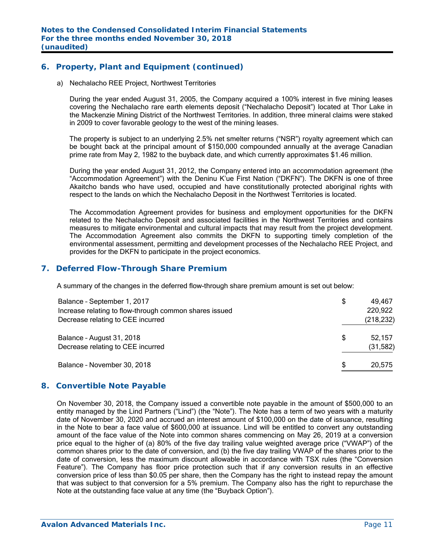# **6. Property, Plant and Equipment (continued)**

a) Nechalacho REE Project, Northwest Territories

During the year ended August 31, 2005, the Company acquired a 100% interest in five mining leases covering the Nechalacho rare earth elements deposit ("Nechalacho Deposit") located at Thor Lake in the Mackenzie Mining District of the Northwest Territories. In addition, three mineral claims were staked in 2009 to cover favorable geology to the west of the mining leases.

The property is subject to an underlying 2.5% net smelter returns ("NSR") royalty agreement which can be bought back at the principal amount of \$150,000 compounded annually at the average Canadian prime rate from May 2, 1982 to the buyback date, and which currently approximates \$1.46 million.

During the year ended August 31, 2012, the Company entered into an accommodation agreement (the "Accommodation Agreement") with the Deninu K'ue First Nation ("DKFN"). The DKFN is one of three Akaitcho bands who have used, occupied and have constitutionally protected aboriginal rights with respect to the lands on which the Nechalacho Deposit in the Northwest Territories is located.

The Accommodation Agreement provides for business and employment opportunities for the DKFN related to the Nechalacho Deposit and associated facilities in the Northwest Territories and contains measures to mitigate environmental and cultural impacts that may result from the project development. The Accommodation Agreement also commits the DKFN to supporting timely completion of the environmental assessment, permitting and development processes of the Nechalacho REE Project, and provides for the DKFN to participate in the project economics.

## **7. Deferred Flow-Through Share Premium**

A summary of the changes in the deferred flow-through share premium amount is set out below:

| Balance - September 1, 2017                            | \$  | 49.467     |
|--------------------------------------------------------|-----|------------|
| Increase relating to flow-through common shares issued |     | 220,922    |
| Decrease relating to CEE incurred                      |     | (218, 232) |
| Balance - August 31, 2018                              | \$  | 52,157     |
| Decrease relating to CEE incurred                      |     | (31,582)   |
| Balance - November 30, 2018                            | \$. | 20,575     |

#### **8. Convertible Note Payable**

On November 30, 2018, the Company issued a convertible note payable in the amount of \$500,000 to an entity managed by the Lind Partners ("Lind") (the "Note"). The Note has a term of two years with a maturity date of November 30, 2020 and accrued an interest amount of \$100,000 on the date of issuance, resulting in the Note to bear a face value of \$600,000 at issuance. Lind will be entitled to convert any outstanding amount of the face value of the Note into common shares commencing on May 26, 2019 at a conversion price equal to the higher of (a) 80% of the five day trailing value weighted average price ("VWAP") of the common shares prior to the date of conversion, and (b) the five day trailing VWAP of the shares prior to the date of conversion, less the maximum discount allowable in accordance with TSX rules (the "Conversion Feature"). The Company has floor price protection such that if any conversion results in an effective conversion price of less than \$0.05 per share, then the Company has the right to instead repay the amount that was subject to that conversion for a 5% premium. The Company also has the right to repurchase the Note at the outstanding face value at any time (the "Buyback Option").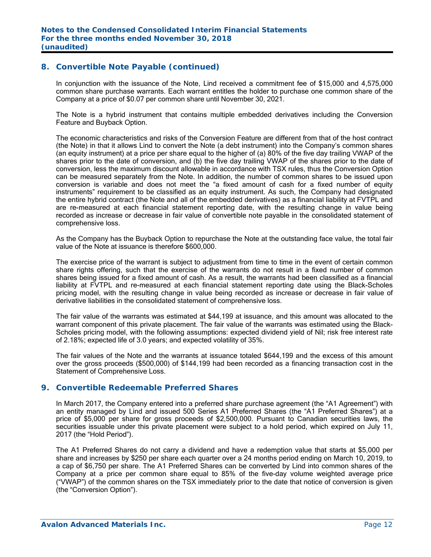## **8. Convertible Note Payable (continued)**

In conjunction with the issuance of the Note, Lind received a commitment fee of \$15,000 and 4,575,000 common share purchase warrants. Each warrant entitles the holder to purchase one common share of the Company at a price of \$0.07 per common share until November 30, 2021.

The Note is a hybrid instrument that contains multiple embedded derivatives including the Conversion Feature and Buyback Option.

The economic characteristics and risks of the Conversion Feature are different from that of the host contract (the Note) in that it allows Lind to convert the Note (a debt instrument) into the Company's common shares (an equity instrument) at a price per share equal to the higher of (a) 80% of the five day trailing VWAP of the shares prior to the date of conversion, and (b) the five day trailing VWAP of the shares prior to the date of conversion, less the maximum discount allowable in accordance with TSX rules, thus the Conversion Option can be measured separately from the Note. In addition, the number of common shares to be issued upon conversion is variable and does not meet the "a fixed amount of cash for a fixed number of equity instruments" requirement to be classified as an equity instrument. As such, the Company had designated the entire hybrid contract (the Note and all of the embedded derivatives) as a financial liability at FVTPL and are re-measured at each financial statement reporting date, with the resulting change in value being recorded as increase or decrease in fair value of convertible note payable in the consolidated statement of comprehensive loss.

As the Company has the Buyback Option to repurchase the Note at the outstanding face value, the total fair value of the Note at issuance is therefore \$600,000.

The exercise price of the warrant is subject to adjustment from time to time in the event of certain common share rights offering, such that the exercise of the warrants do not result in a fixed number of common shares being issued for a fixed amount of cash. As a result, the warrants had been classified as a financial liability at FVTPL and re-measured at each financial statement reporting date using the Black-Scholes pricing model, with the resulting change in value being recorded as increase or decrease in fair value of derivative liabilities in the consolidated statement of comprehensive loss.

The fair value of the warrants was estimated at \$44,199 at issuance, and this amount was allocated to the warrant component of this private placement. The fair value of the warrants was estimated using the Black-Scholes pricing model, with the following assumptions: expected dividend yield of Nil; risk free interest rate of 2.18%; expected life of 3.0 years; and expected volatility of 35%.

The fair values of the Note and the warrants at issuance totaled \$644,199 and the excess of this amount over the gross proceeds (\$500,000) of \$144,199 had been recorded as a financing transaction cost in the Statement of Comprehensive Loss.

#### **9. Convertible Redeemable Preferred Shares**

In March 2017, the Company entered into a preferred share purchase agreement (the "A1 Agreement") with an entity managed by Lind and issued 500 Series A1 Preferred Shares (the "A1 Preferred Shares") at a price of \$5,000 per share for gross proceeds of \$2,500,000. Pursuant to Canadian securities laws, the securities issuable under this private placement were subject to a hold period, which expired on July 11, 2017 (the "Hold Period").

The A1 Preferred Shares do not carry a dividend and have a redemption value that starts at \$5,000 per share and increases by \$250 per share each quarter over a 24 months period ending on March 10, 2019, to a cap of \$6,750 per share. The A1 Preferred Shares can be converted by Lind into common shares of the Company at a price per common share equal to 85% of the five-day volume weighted average price ("VWAP") of the common shares on the TSX immediately prior to the date that notice of conversion is given (the "Conversion Option").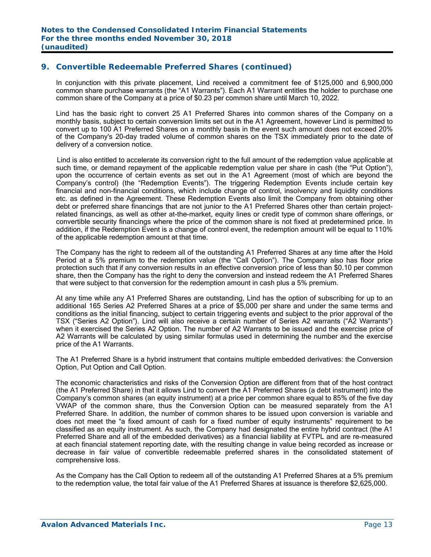In conjunction with this private placement, Lind received a commitment fee of \$125,000 and 6,900,000 common share purchase warrants (the "A1 Warrants"). Each A1 Warrant entitles the holder to purchase one common share of the Company at a price of \$0.23 per common share until March 10, 2022.

Lind has the basic right to convert 25 A1 Preferred Shares into common shares of the Company on a monthly basis, subject to certain conversion limits set out in the A1 Agreement, however Lind is permitted to convert up to 100 A1 Preferred Shares on a monthly basis in the event such amount does not exceed 20% of the Company's 20-day traded volume of common shares on the TSX immediately prior to the date of delivery of a conversion notice.

 Lind is also entitled to accelerate its conversion right to the full amount of the redemption value applicable at such time, or demand repayment of the applicable redemption value per share in cash (the "Put Option"), upon the occurrence of certain events as set out in the A1 Agreement (most of which are beyond the Company's control) (the "Redemption Events"). The triggering Redemption Events include certain key financial and non-financial conditions, which include change of control, insolvency and liquidity conditions etc. as defined in the Agreement. These Redemption Events also limit the Company from obtaining other debt or preferred share financings that are not junior to the A1 Preferred Shares other than certain projectrelated financings, as well as other at-the-market, equity lines or credit type of common share offerings, or convertible security financings where the price of the common share is not fixed at predetermined price. In addition, if the Redemption Event is a change of control event, the redemption amount will be equal to 110% of the applicable redemption amount at that time.

The Company has the right to redeem all of the outstanding A1 Preferred Shares at any time after the Hold Period at a 5% premium to the redemption value (the "Call Option"). The Company also has floor price protection such that if any conversion results in an effective conversion price of less than \$0.10 per common share, then the Company has the right to deny the conversion and instead redeem the A1 Preferred Shares that were subject to that conversion for the redemption amount in cash plus a 5% premium.

At any time while any A1 Preferred Shares are outstanding, Lind has the option of subscribing for up to an additional 165 Series A2 Preferred Shares at a price of \$5,000 per share and under the same terms and conditions as the initial financing, subject to certain triggering events and subject to the prior approval of the TSX ("Series A2 Option"). Lind will also receive a certain number of Series A2 warrants ("A2 Warrants") when it exercised the Series A2 Option. The number of A2 Warrants to be issued and the exercise price of A2 Warrants will be calculated by using similar formulas used in determining the number and the exercise price of the A1 Warrants.

The A1 Preferred Share is a hybrid instrument that contains multiple embedded derivatives: the Conversion Option, Put Option and Call Option.

The economic characteristics and risks of the Conversion Option are different from that of the host contract (the A1 Preferred Share) in that it allows Lind to convert the A1 Preferred Shares (a debt instrument) into the Company's common shares (an equity instrument) at a price per common share equal to 85% of the five day VWAP of the common share, thus the Conversion Option can be measured separately from the A1 Preferred Share. In addition, the number of common shares to be issued upon conversion is variable and does not meet the "a fixed amount of cash for a fixed number of equity instruments" requirement to be classified as an equity instrument. As such, the Company had designated the entire hybrid contract (the A1 Preferred Share and all of the embedded derivatives) as a financial liability at FVTPL and are re-measured at each financial statement reporting date, with the resulting change in value being recorded as increase or decrease in fair value of convertible redeemable preferred shares in the consolidated statement of comprehensive loss.

As the Company has the Call Option to redeem all of the outstanding A1 Preferred Shares at a 5% premium to the redemption value, the total fair value of the A1 Preferred Shares at issuance is therefore \$2,625,000.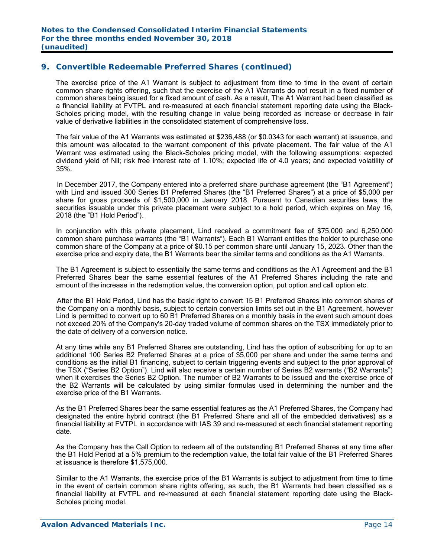The exercise price of the A1 Warrant is subject to adjustment from time to time in the event of certain common share rights offering, such that the exercise of the A1 Warrants do not result in a fixed number of common shares being issued for a fixed amount of cash. As a result, The A1 Warrant had been classified as a financial liability at FVTPL and re-measured at each financial statement reporting date using the Black-Scholes pricing model, with the resulting change in value being recorded as increase or decrease in fair value of derivative liabilities in the consolidated statement of comprehensive loss.

 The fair value of the A1 Warrants was estimated at \$236,488 (or \$0.0343 for each warrant) at issuance, and this amount was allocated to the warrant component of this private placement. The fair value of the A1 Warrant was estimated using the Black-Scholes pricing model, with the following assumptions: expected dividend yield of Nil; risk free interest rate of 1.10%; expected life of 4.0 years; and expected volatility of 35%.

In December 2017, the Company entered into a preferred share purchase agreement (the "B1 Agreement") with Lind and issued 300 Series B1 Preferred Shares (the "B1 Preferred Shares") at a price of \$5,000 per share for gross proceeds of \$1,500,000 in January 2018. Pursuant to Canadian securities laws, the securities issuable under this private placement were subject to a hold period, which expires on May 16, 2018 (the "B1 Hold Period").

In conjunction with this private placement, Lind received a commitment fee of \$75,000 and 6,250,000 common share purchase warrants (the "B1 Warrants"). Each B1 Warrant entitles the holder to purchase one common share of the Company at a price of \$0.15 per common share until January 15, 2023. Other than the exercise price and expiry date, the B1 Warrants bear the similar terms and conditions as the A1 Warrants.

The B1 Agreement is subject to essentially the same terms and conditions as the A1 Agreement and the B1 Preferred Shares bear the same essential features of the A1 Preferred Shares including the rate and amount of the increase in the redemption value, the conversion option, put option and call option etc.

 After the B1 Hold Period, Lind has the basic right to convert 15 B1 Preferred Shares into common shares of the Company on a monthly basis, subject to certain conversion limits set out in the B1 Agreement, however Lind is permitted to convert up to 60 B1 Preferred Shares on a monthly basis in the event such amount does not exceed 20% of the Company's 20-day traded volume of common shares on the TSX immediately prior to the date of delivery of a conversion notice.

At any time while any B1 Preferred Shares are outstanding, Lind has the option of subscribing for up to an additional 100 Series B2 Preferred Shares at a price of \$5,000 per share and under the same terms and conditions as the initial B1 financing, subject to certain triggering events and subject to the prior approval of the TSX ("Series B2 Option"). Lind will also receive a certain number of Series B2 warrants ("B2 Warrants") when it exercises the Series B2 Option. The number of B2 Warrants to be issued and the exercise price of the B2 Warrants will be calculated by using similar formulas used in determining the number and the exercise price of the B1 Warrants.

As the B1 Preferred Shares bear the same essential features as the A1 Preferred Shares, the Company had designated the entire hybrid contract (the B1 Preferred Share and all of the embedded derivatives) as a financial liability at FVTPL in accordance with IAS 39 and re-measured at each financial statement reporting date.

As the Company has the Call Option to redeem all of the outstanding B1 Preferred Shares at any time after the B1 Hold Period at a 5% premium to the redemption value, the total fair value of the B1 Preferred Shares at issuance is therefore \$1,575,000.

Similar to the A1 Warrants, the exercise price of the B1 Warrants is subject to adjustment from time to time in the event of certain common share rights offering, as such, the B1 Warrants had been classified as a financial liability at FVTPL and re-measured at each financial statement reporting date using the Black-Scholes pricing model.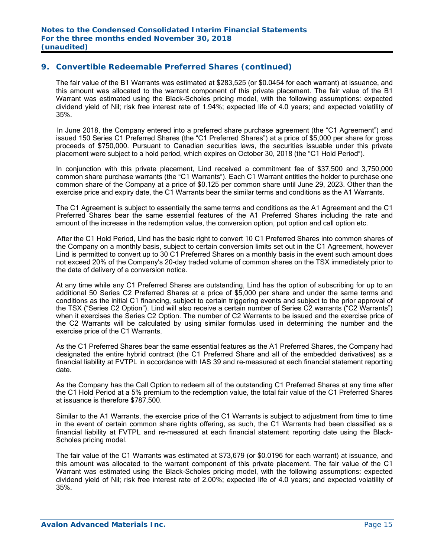The fair value of the B1 Warrants was estimated at \$283,525 (or \$0.0454 for each warrant) at issuance, and this amount was allocated to the warrant component of this private placement. The fair value of the B1 Warrant was estimated using the Black-Scholes pricing model, with the following assumptions: expected dividend yield of Nil; risk free interest rate of 1.94%; expected life of 4.0 years; and expected volatility of 35%.

 In June 2018, the Company entered into a preferred share purchase agreement (the "C1 Agreement") and issued 150 Series C1 Preferred Shares (the "C1 Preferred Shares") at a price of \$5,000 per share for gross proceeds of \$750,000. Pursuant to Canadian securities laws, the securities issuable under this private placement were subject to a hold period, which expires on October 30, 2018 (the "C1 Hold Period").

In conjunction with this private placement, Lind received a commitment fee of \$37,500 and 3,750,000 common share purchase warrants (the "C1 Warrants"). Each C1 Warrant entitles the holder to purchase one common share of the Company at a price of \$0.125 per common share until June 29, 2023. Other than the exercise price and expiry date, the C1 Warrants bear the similar terms and conditions as the A1 Warrants.

The C1 Agreement is subject to essentially the same terms and conditions as the A1 Agreement and the C1 Preferred Shares bear the same essential features of the A1 Preferred Shares including the rate and amount of the increase in the redemption value, the conversion option, put option and call option etc.

 After the C1 Hold Period, Lind has the basic right to convert 10 C1 Preferred Shares into common shares of the Company on a monthly basis, subject to certain conversion limits set out in the C1 Agreement, however Lind is permitted to convert up to 30 C1 Preferred Shares on a monthly basis in the event such amount does not exceed 20% of the Company's 20-day traded volume of common shares on the TSX immediately prior to the date of delivery of a conversion notice.

At any time while any C1 Preferred Shares are outstanding, Lind has the option of subscribing for up to an additional 50 Series C2 Preferred Shares at a price of \$5,000 per share and under the same terms and conditions as the initial C1 financing, subject to certain triggering events and subject to the prior approval of the TSX ("Series C2 Option"). Lind will also receive a certain number of Series C2 warrants ("C2 Warrants") when it exercises the Series C2 Option. The number of C2 Warrants to be issued and the exercise price of the C2 Warrants will be calculated by using similar formulas used in determining the number and the exercise price of the C1 Warrants.

As the C1 Preferred Shares bear the same essential features as the A1 Preferred Shares, the Company had designated the entire hybrid contract (the C1 Preferred Share and all of the embedded derivatives) as a financial liability at FVTPL in accordance with IAS 39 and re-measured at each financial statement reporting date.

As the Company has the Call Option to redeem all of the outstanding C1 Preferred Shares at any time after the C1 Hold Period at a 5% premium to the redemption value, the total fair value of the C1 Preferred Shares at issuance is therefore \$787,500.

Similar to the A1 Warrants, the exercise price of the C1 Warrants is subject to adjustment from time to time in the event of certain common share rights offering, as such, the C1 Warrants had been classified as a financial liability at FVTPL and re-measured at each financial statement reporting date using the Black-Scholes pricing model.

 The fair value of the C1 Warrants was estimated at \$73,679 (or \$0.0196 for each warrant) at issuance, and this amount was allocated to the warrant component of this private placement. The fair value of the C1 Warrant was estimated using the Black-Scholes pricing model, with the following assumptions: expected dividend yield of Nil; risk free interest rate of 2.00%; expected life of 4.0 years; and expected volatility of 35%.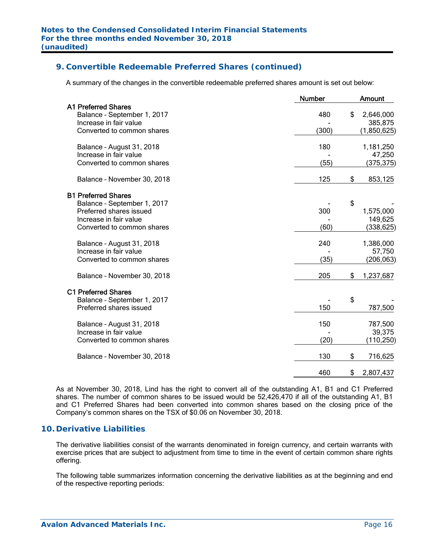A summary of the changes in the convertible redeemable preferred shares amount is set out below:

|                                                                                                                                              | <b>Number</b> | <b>Amount</b>                             |
|----------------------------------------------------------------------------------------------------------------------------------------------|---------------|-------------------------------------------|
| <b>A1 Preferred Shares</b><br>Balance - September 1, 2017<br>Increase in fair value<br>Converted to common shares                            | 480<br>(300)  | \$<br>2,646,000<br>385,875<br>(1,850,625) |
| Balance - August 31, 2018<br>Increase in fair value<br>Converted to common shares                                                            | 180<br>(55)   | 1,181,250<br>47,250<br>(375, 375)         |
| Balance - November 30, 2018                                                                                                                  | 125           | \$<br>853,125                             |
| <b>B1 Preferred Shares</b><br>Balance - September 1, 2017<br>Preferred shares issued<br>Increase in fair value<br>Converted to common shares | 300<br>(60)   | \$<br>1,575,000<br>149,625<br>(338, 625)  |
| Balance - August 31, 2018<br>Increase in fair value<br>Converted to common shares                                                            | 240<br>(35)   | 1,386,000<br>57,750<br>(206, 063)         |
| Balance - November 30, 2018                                                                                                                  | 205           | \$<br>1,237,687                           |
| <b>C1 Preferred Shares</b><br>Balance - September 1, 2017<br>Preferred shares issued                                                         | 150           | \$<br>787,500                             |
| Balance - August 31, 2018<br>Increase in fair value<br>Converted to common shares                                                            | 150<br>(20)   | 787,500<br>39,375<br>(110,250)            |
| Balance - November 30, 2018                                                                                                                  | 130           | \$<br>716,625                             |
|                                                                                                                                              | 460           | \$<br>2,807,437                           |

As at November 30, 2018, Lind has the right to convert all of the outstanding A1, B1 and C1 Preferred shares. The number of common shares to be issued would be 52,426,470 if all of the outstanding A1, B1 and C1 Preferred Shares had been converted into common shares based on the closing price of the Company's common shares on the TSX of \$0.06 on November 30, 2018.

#### **10. Derivative Liabilities**

The derivative liabilities consist of the warrants denominated in foreign currency, and certain warrants with exercise prices that are subject to adjustment from time to time in the event of certain common share rights offering.

The following table summarizes information concerning the derivative liabilities as at the beginning and end of the respective reporting periods: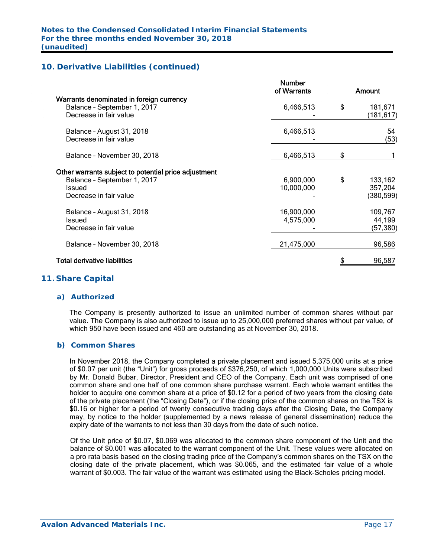# **10. Derivative Liabilities (continued)**

|                                                                                                                         | <b>Number</b><br>of Warrants | Amount                                |
|-------------------------------------------------------------------------------------------------------------------------|------------------------------|---------------------------------------|
| Warrants denominated in foreign currency<br>Balance - September 1, 2017<br>Decrease in fair value                       | 6,466,513                    | \$<br>181,671<br>(181,617)            |
| Balance - August 31, 2018<br>Decrease in fair value                                                                     | 6,466,513                    | 54<br>(53)                            |
| Balance - November 30, 2018                                                                                             | 6,466,513                    | \$                                    |
| Other warrants subject to potential price adjustment<br>Balance - September 1, 2017<br>Issued<br>Decrease in fair value | 6,900,000<br>10,000,000      | \$<br>133,162<br>357,204<br>(380,599) |
| Balance - August 31, 2018<br>Issued<br>Decrease in fair value                                                           | 16,900,000<br>4,575,000      | 109,767<br>44,199<br>(57, 380)        |
| Balance - November 30, 2018                                                                                             | 21,475,000                   | 96,586                                |
| <b>Total derivative liabilities</b>                                                                                     |                              | 96,587                                |

#### **11. Share Capital**

#### *a) Authorized*

The Company is presently authorized to issue an unlimited number of common shares without par value. The Company is also authorized to issue up to 25,000,000 preferred shares without par value, of which 950 have been issued and 460 are outstanding as at November 30, 2018.

#### *b) Common Shares*

In November 2018, the Company completed a private placement and issued 5,375,000 units at a price of \$0.07 per unit (the "Unit") for gross proceeds of \$376,250, of which 1,000,000 Units were subscribed by Mr. Donald Bubar, Director, President and CEO of the Company. Each unit was comprised of one common share and one half of one common share purchase warrant. Each whole warrant entitles the holder to acquire one common share at a price of \$0.12 for a period of two years from the closing date of the private placement (the "Closing Date"), or if the closing price of the common shares on the TSX is \$0.16 or higher for a period of twenty consecutive trading days after the Closing Date, the Company may, by notice to the holder (supplemented by a news release of general dissemination) reduce the expiry date of the warrants to not less than 30 days from the date of such notice.

Of the Unit price of \$0.07, \$0.069 was allocated to the common share component of the Unit and the balance of \$0.001 was allocated to the warrant component of the Unit. These values were allocated on a pro rata basis based on the closing trading price of the Company's common shares on the TSX on the closing date of the private placement, which was \$0.065, and the estimated fair value of a whole warrant of \$0.003. The fair value of the warrant was estimated using the Black-Scholes pricing model.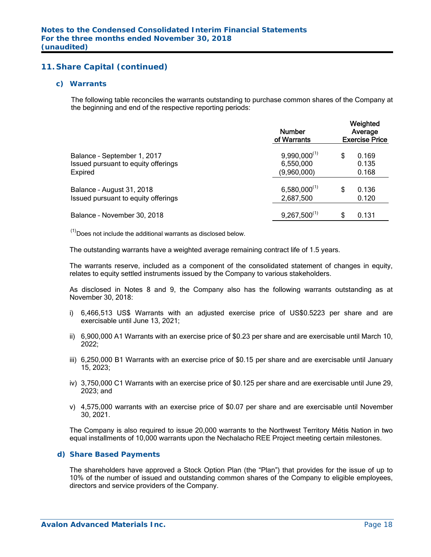#### *c) Warrants*

The following table reconciles the warrants outstanding to purchase common shares of the Company at the beginning and end of the respective reporting periods:

|                                     | <b>Number</b><br>of Warrants | Weighted<br>Average<br><b>Exercise Price</b> |       |  |  |
|-------------------------------------|------------------------------|----------------------------------------------|-------|--|--|
| Balance - September 1, 2017         | $9,990,000^{(1)}$            | S                                            | 0.169 |  |  |
| Issued pursuant to equity offerings | 6,550,000                    |                                              | 0.135 |  |  |
| Expired                             | (9,960,000)                  |                                              | 0.168 |  |  |
| Balance - August 31, 2018           | $6,580,000^{(1)}$            | S                                            | 0.136 |  |  |
| Issued pursuant to equity offerings | 2,687,500                    |                                              | 0.120 |  |  |
| Balance - November 30, 2018         | $9,267,500^{(1)}$            | S                                            | 0.131 |  |  |

 $<sup>(1)</sup>$  Does not include the additional warrants as disclosed below.</sup>

The outstanding warrants have a weighted average remaining contract life of 1.5 years.

The warrants reserve, included as a component of the consolidated statement of changes in equity, relates to equity settled instruments issued by the Company to various stakeholders.

As disclosed in Notes 8 and 9, the Company also has the following warrants outstanding as at November 30, 2018:

- i) 6,466,513 US\$ Warrants with an adjusted exercise price of US\$0.5223 per share and are exercisable until June 13, 2021;
- ii) 6,900,000 A1 Warrants with an exercise price of \$0.23 per share and are exercisable until March 10, 2022;
- iii) 6,250,000 B1 Warrants with an exercise price of \$0.15 per share and are exercisable until January 15, 2023;
- iv) 3,750,000 C1 Warrants with an exercise price of \$0.125 per share and are exercisable until June 29, 2023; and
- v) 4,575,000 warrants with an exercise price of \$0.07 per share and are exercisable until November 30, 2021.

The Company is also required to issue 20,000 warrants to the Northwest Territory Métis Nation in two equal installments of 10,000 warrants upon the Nechalacho REE Project meeting certain milestones.

#### *d) Share Based Payments*

The shareholders have approved a Stock Option Plan (the "Plan") that provides for the issue of up to 10% of the number of issued and outstanding common shares of the Company to eligible employees, directors and service providers of the Company.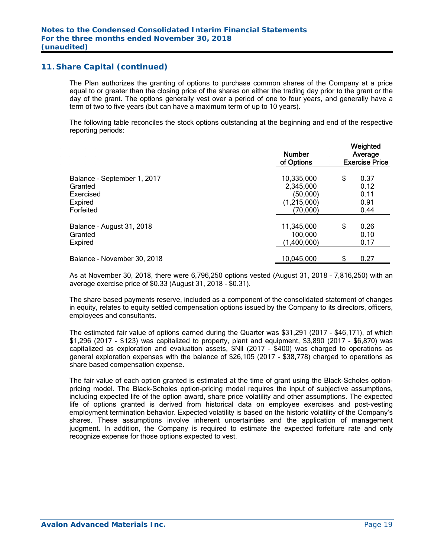The Plan authorizes the granting of options to purchase common shares of the Company at a price equal to or greater than the closing price of the shares on either the trading day prior to the grant or the day of the grant. The options generally vest over a period of one to four years, and generally have a term of two to five years (but can have a maximum term of up to 10 years).

The following table reconciles the stock options outstanding at the beginning and end of the respective reporting periods:

|                             | <b>Number</b><br>of Options | Weighted<br>Average<br><b>Exercise Price</b> |      |  |  |
|-----------------------------|-----------------------------|----------------------------------------------|------|--|--|
| Balance - September 1, 2017 | 10,335,000                  | \$                                           | 0.37 |  |  |
| Granted                     | 2,345,000                   |                                              | 0.12 |  |  |
| Exercised                   | (50,000)                    |                                              | 0.11 |  |  |
| Expired                     | (1,215,000)                 |                                              | 0.91 |  |  |
| Forfeited                   | (70,000)                    |                                              | 0.44 |  |  |
| Balance - August 31, 2018   | 11,345,000                  | \$                                           | 0.26 |  |  |
| Granted                     | 100,000                     |                                              | 0.10 |  |  |
| Expired                     | (1,400,000)                 |                                              | 0.17 |  |  |
| Balance - November 30, 2018 | 10,045,000                  | \$                                           | 0.27 |  |  |

As at November 30, 2018, there were 6,796,250 options vested (August 31, 2018 – 7,816,250) with an average exercise price of \$0.33 (August 31, 2018 - \$0.31).

The share based payments reserve, included as a component of the consolidated statement of changes in equity, relates to equity settled compensation options issued by the Company to its directors, officers, employees and consultants.

The estimated fair value of options earned during the Quarter was \$31,291 (2017 - \$46,171), of which \$1,296 (2017 - \$123) was capitalized to property, plant and equipment, \$3,890 (2017 - \$6,870) was capitalized as exploration and evaluation assets, \$Nil (2017 - \$400) was charged to operations as general exploration expenses with the balance of \$26,105 (2017 - \$38,778) charged to operations as share based compensation expense.

The fair value of each option granted is estimated at the time of grant using the Black-Scholes optionpricing model. The Black-Scholes option-pricing model requires the input of subjective assumptions, including expected life of the option award, share price volatility and other assumptions. The expected life of options granted is derived from historical data on employee exercises and post-vesting employment termination behavior. Expected volatility is based on the historic volatility of the Company's shares. These assumptions involve inherent uncertainties and the application of management judgment. In addition, the Company is required to estimate the expected forfeiture rate and only recognize expense for those options expected to vest.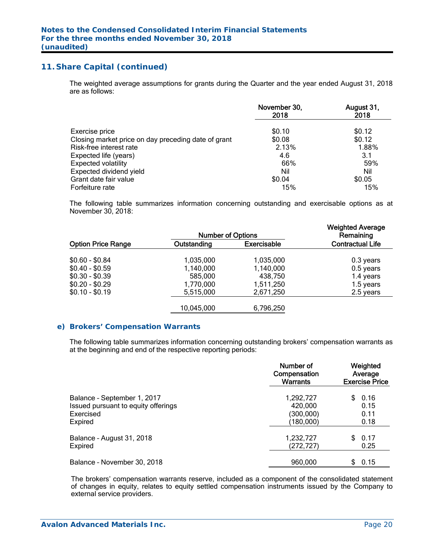The weighted average assumptions for grants during the Quarter and the year ended August 31, 2018 are as follows:

|                                                     | November 30,<br>2018 | August 31,<br>2018 |
|-----------------------------------------------------|----------------------|--------------------|
| Exercise price                                      | \$0.10               | \$0.12             |
| Closing market price on day preceding date of grant | \$0.08               | \$0.12             |
| Risk-free interest rate                             | 2.13%                | 1.88%              |
| Expected life (years)                               | 4.6                  | 3.1                |
| <b>Expected volatility</b>                          | 66%                  | 59%                |
| Expected dividend yield                             | Nil                  | Nil                |
| Grant date fair value                               | \$0.04               | \$0.05             |
| Forfeiture rate                                     | 15%                  | 15%                |

The following table summarizes information concerning outstanding and exercisable options as at November 30, 2018:

| <b>Number of Options</b> |                    | <b>Weighted Average</b><br>Remaining |
|--------------------------|--------------------|--------------------------------------|
| Outstanding              | <b>Exercisable</b> | <b>Contractual Life</b>              |
| 1,035,000                | 1,035,000          | 0.3 years                            |
| 1,140,000                | 1,140,000          | 0.5 years                            |
| 585,000                  | 438,750            | 1.4 years                            |
| 1,770,000                | 1,511,250          | 1.5 years                            |
| 5,515,000                | 2,671,250          | 2.5 years                            |
| 10,045,000               | 6,796,250          |                                      |
|                          |                    |                                      |

#### *e) Brokers' Compensation Warrants*

The following table summarizes information concerning outstanding brokers' compensation warrants as at the beginning and end of the respective reporting periods:

|                                     | Number of<br>Compensation<br>Warrants | Weighted<br>Average<br><b>Exercise Price</b> |
|-------------------------------------|---------------------------------------|----------------------------------------------|
| Balance - September 1, 2017         | 1,292,727                             | 0.16                                         |
| Issued pursuant to equity offerings | 420,000                               | 0.15                                         |
| Exercised                           | (300,000)                             | 0.11                                         |
| <b>Expired</b>                      | (180,000)                             | 0.18                                         |
| Balance - August 31, 2018           | 1,232,727                             | 0.17                                         |
| <b>Expired</b>                      | (272,727)                             | 0.25                                         |
| Balance - November 30, 2018         | 960,000                               | 0.15<br>S.                                   |

The brokers' compensation warrants reserve, included as a component of the consolidated statement of changes in equity, relates to equity settled compensation instruments issued by the Company to external service providers.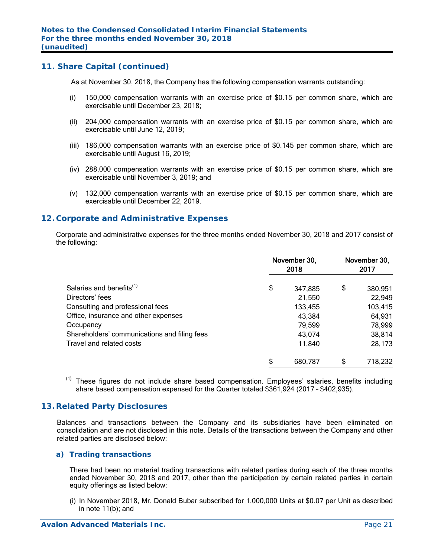As at November 30, 2018, the Company has the following compensation warrants outstanding:

- (i) 150,000 compensation warrants with an exercise price of \$0.15 per common share, which are exercisable until December 23, 2018;
- (ii) 204,000 compensation warrants with an exercise price of \$0.15 per common share, which are exercisable until June 12, 2019;
- (iii) 186,000 compensation warrants with an exercise price of \$0.145 per common share, which are exercisable until August 16, 2019;
- (iv) 288,000 compensation warrants with an exercise price of \$0.15 per common share, which are exercisable until November 3, 2019; and
- (v) 132,000 compensation warrants with an exercise price of \$0.15 per common share, which are exercisable until December 22, 2019.

## **12. Corporate and Administrative Expenses**

 Corporate and administrative expenses for the three months ended November 30, 2018 and 2017 consist of the following:

|                                              | November 30,<br>2018 |         | November 30,<br>2017 |         |  |
|----------------------------------------------|----------------------|---------|----------------------|---------|--|
| Salaries and benefits <sup>(1)</sup>         | \$                   | 347,885 | \$                   | 380,951 |  |
| Directors' fees                              |                      | 21,550  |                      | 22,949  |  |
| Consulting and professional fees             |                      | 133,455 |                      | 103,415 |  |
| Office, insurance and other expenses         |                      | 43,384  |                      | 64,931  |  |
| Occupancy                                    |                      | 79,599  |                      | 78,999  |  |
| Shareholders' communications and filing fees |                      | 43,074  |                      | 38,814  |  |
| Travel and related costs                     |                      | 11,840  |                      | 28,173  |  |
|                                              | \$                   | 680,787 | \$                   | 718,232 |  |

 $(1)$  These figures do not include share based compensation. Employees' salaries, benefits including share based compensation expensed for the Quarter totaled \$361,924 (2017 – \$402,935).

#### **13. Related Party Disclosures**

Balances and transactions between the Company and its subsidiaries have been eliminated on consolidation and are not disclosed in this note. Details of the transactions between the Company and other related parties are disclosed below:

#### *a) Trading transactions*

There had been no material trading transactions with related parties during each of the three months ended November 30, 2018 and 2017, other than the participation by certain related parties in certain equity offerings as listed below:

(i) In November 2018, Mr. Donald Bubar subscribed for 1,000,000 Units at \$0.07 per Unit as described in note 11(b); and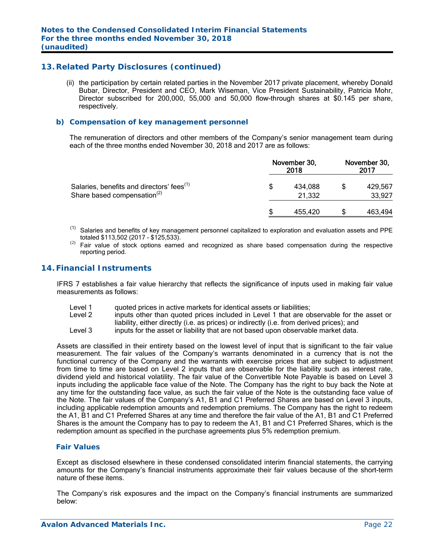# **13. Related Party Disclosures (continued)**

 (ii) the participation by certain related parties in the November 2017 private placement, whereby Donald Bubar, Director, President and CEO, Mark Wiseman, Vice President Sustainability, Patricia Mohr, Director subscribed for 200,000, 55,000 and 50,000 flow-through shares at \$0.145 per share, respectively.

#### *b) Compensation of key management personnel*

The remuneration of directors and other members of the Company's senior management team during each of the three months ended November 30, 2018 and 2017 are as follows:

|                                                                                                  | November 30, | November 30,<br>2017 |  |                   |
|--------------------------------------------------------------------------------------------------|--------------|----------------------|--|-------------------|
| Salaries, benefits and directors' fees <sup>(1)</sup><br>Share based compensation <sup>(2)</sup> | \$           | 434,088<br>21,332    |  | 429,567<br>33,927 |
|                                                                                                  |              | 455,420              |  | 463,494           |

- Salaries and benefits of key management personnel capitalized to exploration and evaluation assets and PPE totaled \$113,502 (2017 - \$125,533).
- Fair value of stock options earned and recognized as share based compensation during the respective reporting period.

#### **14. Financial Instruments**

IFRS 7 establishes a fair value hierarchy that reflects the significance of inputs used in making fair value measurements as follows:

- Level 1 guoted prices in active markets for identical assets or liabilities;
- Level 2 inputs other than quoted prices included in Level 1 that are observable for the asset or liability, either directly (i.e. as prices) or indirectly (i.e. from derived prices); and
- Level 3 inputs for the asset or liability that are not based upon observable market data.

Assets are classified in their entirety based on the lowest level of input that is significant to the fair value measurement. The fair values of the Company's warrants denominated in a currency that is not the functional currency of the Company and the warrants with exercise prices that are subject to adjustment from time to time are based on Level 2 inputs that are observable for the liability such as interest rate, dividend yield and historical volatility. The fair value of the Convertible Note Payable is based on Level 3 inputs including the applicable face value of the Note. The Company has the right to buy back the Note at any time for the outstanding face value, as such the fair value of the Note is the outstanding face value of the Note. The fair values of the Company's A1, B1 and C1 Preferred Shares are based on Level 3 inputs, including applicable redemption amounts and redemption premiums. The Company has the right to redeem the A1, B1 and C1 Preferred Shares at any time and therefore the fair value of the A1, B1 and C1 Preferred Shares is the amount the Company has to pay to redeem the A1, B1 and C1 Preferred Shares, which is the redemption amount as specified in the purchase agreements plus 5% redemption premium.

#### *Fair Values*

Except as disclosed elsewhere in these condensed consolidated interim financial statements, the carrying amounts for the Company's financial instruments approximate their fair values because of the short-term nature of these items.

The Company's risk exposures and the impact on the Company's financial instruments are summarized below: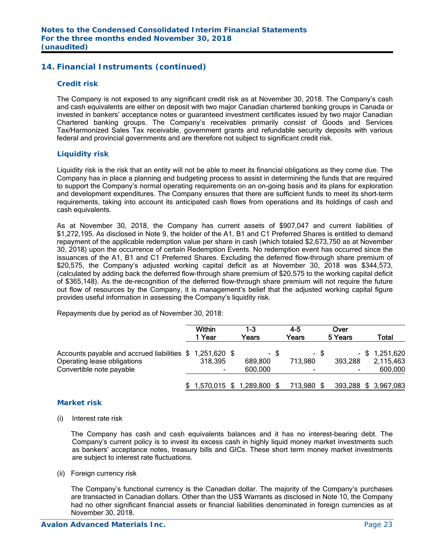# **14. Financial Instruments (continued)**

#### *Credit risk*

The Company is not exposed to any significant credit risk as at November 30, 2018. The Company's cash and cash equivalents are either on deposit with two major Canadian chartered banking groups in Canada or invested in bankers' acceptance notes or guaranteed investment certificates issued by two major Canadian Chartered banking groups. The Company's receivables primarily consist of Goods and Services Tax/Harmonized Sales Tax receivable, government grants and refundable security deposits with various federal and provincial governments and are therefore not subject to significant credit risk.

#### *Liquidity risk*

Liquidity risk is the risk that an entity will not be able to meet its financial obligations as they come due. The Company has in place a planning and budgeting process to assist in determining the funds that are required to support the Company's normal operating requirements on an on-going basis and its plans for exploration and development expenditures. The Company ensures that there are sufficient funds to meet its short-term requirements, taking into account its anticipated cash flows from operations and its holdings of cash and cash equivalents.

As at November 30, 2018, the Company has current assets of \$907,047 and current liabilities of \$1,272,195. As disclosed in Note 9, the holder of the A1, B1 and C1 Preferred Shares is entitled to demand repayment of the applicable redemption value per share in cash (which totaled \$2,673,750 as at November 30, 2018) upon the occurrence of certain Redemption Events. No redemption event has occurred since the issuances of the A1, B1 and C1 Preferred Shares. Excluding the deferred flow-through share premium of \$20,575, the Company's adjusted working capital deficit as at November 30, 2018 was \$344,573, (calculated by adding back the deferred flow-through share premium of \$20,575 to the working capital deficit of \$365,148). As the de-recognition of the deferred flow-through share premium will not require the future out flow of resources by the Company, it is management's belief that the adjusted working capital figure provides useful information in assessing the Company's liquidity risk.

Repayments due by period as of November 30, 2018:

|                                                                                                                     | <b>Within</b><br>1 Year | 1-3<br>Years                 |      | 4-5<br>Years                        |      | Over<br>5 Years      | Total                                    |
|---------------------------------------------------------------------------------------------------------------------|-------------------------|------------------------------|------|-------------------------------------|------|----------------------|------------------------------------------|
| Accounts payable and accrued liabilities \$ 1,251,620 \$<br>Operating lease obligations<br>Convertible note payable | 318,395                 | 689,800<br>600,000           | - \$ | 713,980<br>$\overline{\phantom{0}}$ | - \$ | 393,288<br>$\,$ $\,$ | $-$ \$ 1,251,620<br>2,115,463<br>600,000 |
|                                                                                                                     |                         | $$1,570,015$ \$ 1,289,800 \$ |      | 713,980 \$                          |      |                      | 393,288 \$ 3,967,083                     |

#### *Market risk*

(i) Interest rate risk

 The Company has cash and cash equivalents balances and it has no interest-bearing debt. The Company's current policy is to invest its excess cash in highly liquid money market investments such as bankers' acceptance notes, treasury bills and GICs. These short term money market investments are subject to interest rate fluctuations.

(ii) Foreign currency risk

 The Company's functional currency is the Canadian dollar. The majority of the Company's purchases are transacted in Canadian dollars. Other than the US\$ Warrants as disclosed in Note 10, the Company had no other significant financial assets or financial liabilities denominated in foreign currencies as at November 30, 2018.